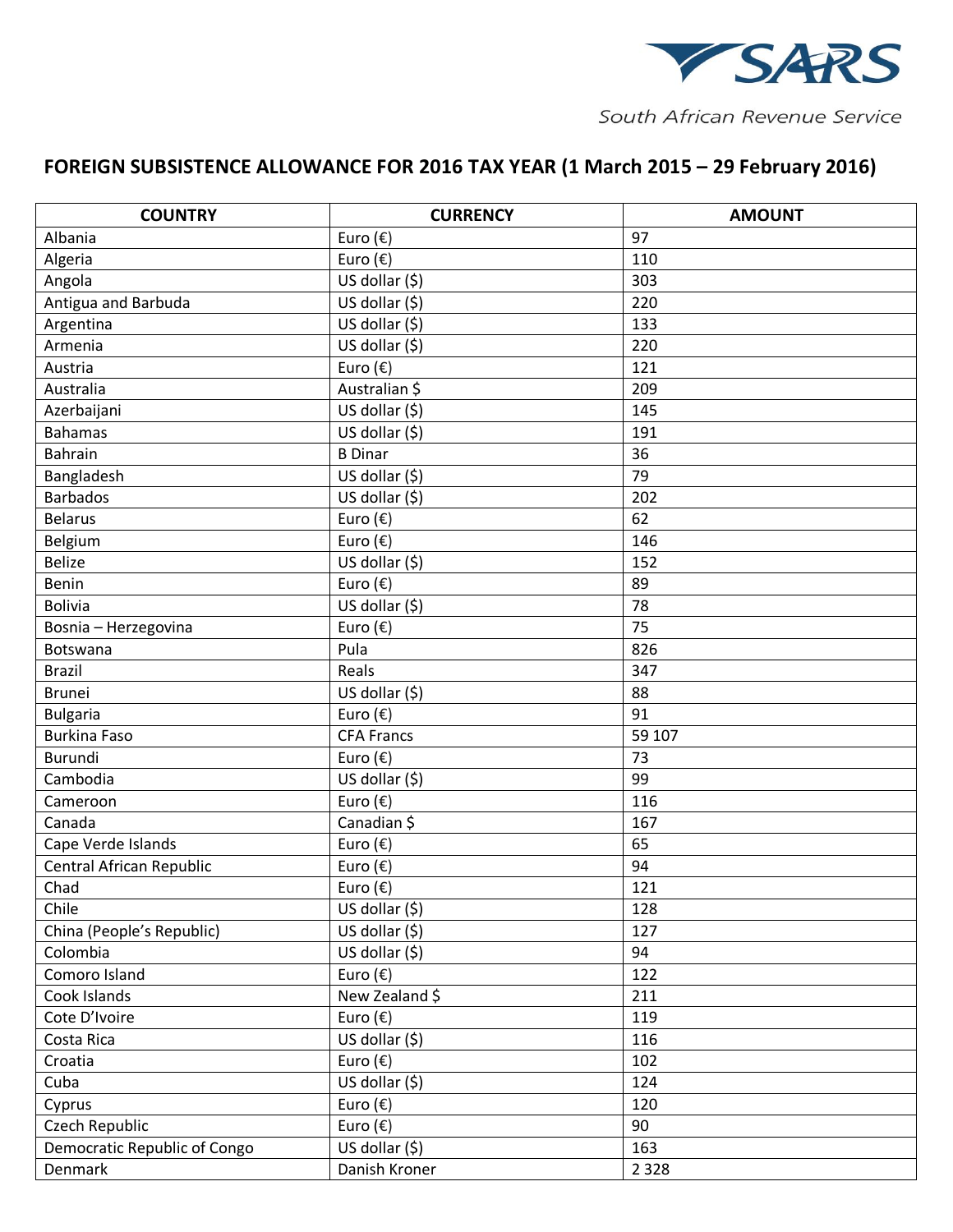

South African Revenue Service

## **FOREIGN SUBSISTENCE ALLOWANCE FOR 2016 TAX YEAR (1 March 2015 – 29 February 2016)**

| <b>COUNTRY</b>               | <b>CURRENCY</b>             | <b>AMOUNT</b> |
|------------------------------|-----------------------------|---------------|
| Albania                      | Euro $(\epsilon)$           | 97            |
| Algeria                      | Euro $(\epsilon)$           | 110           |
| Angola                       | US dollar (\$)              | 303           |
| Antigua and Barbuda          | US dollar (\$)              | 220           |
| Argentina                    | US dollar (\$)              | 133           |
| Armenia                      | $\overline{US}$ dollar (\$) | 220           |
| Austria                      | Euro (€)                    | 121           |
| Australia                    | Australian \$               | 209           |
| Azerbaijani                  | US dollar (\$)              | 145           |
| <b>Bahamas</b>               | US dollar (\$)              | 191           |
| <b>Bahrain</b>               | <b>B</b> Dinar              | 36            |
| Bangladesh                   | US dollar (\$)              | 79            |
| <b>Barbados</b>              | $\overline{US}$ dollar (\$) | 202           |
| <b>Belarus</b>               | Euro $(\epsilon)$           | 62            |
| Belgium                      | Euro $(\epsilon)$           | 146           |
| <b>Belize</b>                | US dollar (\$)              | 152           |
| Benin                        | Euro $(\epsilon)$           | 89            |
| <b>Bolivia</b>               | US dollar (\$)              | 78            |
| Bosnia - Herzegovina         | Euro $(\epsilon)$           | 75            |
| Botswana                     | Pula                        | 826           |
| <b>Brazil</b>                | Reals                       | 347           |
| <b>Brunei</b>                | US dollar (\$)              | 88            |
| <b>Bulgaria</b>              | Euro $(\epsilon)$           | 91            |
| <b>Burkina Faso</b>          | <b>CFA Francs</b>           | 59 107        |
| Burundi                      | Euro (€)                    | 73            |
| Cambodia                     | US dollar (\$)              | 99            |
| Cameroon                     | Euro $(\epsilon)$           | 116           |
| Canada                       | Canadian \$                 | 167           |
| Cape Verde Islands           | Euro $(\epsilon)$           | 65            |
| Central African Republic     | Euro $(\epsilon)$           | 94            |
| Chad                         | Euro $(\epsilon)$           | 121           |
| Chile                        | US dollar (\$)              | 128           |
| China (People's Republic)    | US dollar (\$)              | 127           |
| Colombia                     | $\overline{Us}$ dollar (\$) | 94            |
| Comoro Island                | Euro $(\epsilon)$           | 122           |
| Cook Islands                 | New Zealand \$              | 211           |
| Cote D'Ivoire                | Euro $(\epsilon)$           | 119           |
| Costa Rica                   | US dollar $(\overline{5})$  | 116           |
| Croatia                      | Euro $(\epsilon)$           | 102           |
| Cuba                         | $\overline{US}$ dollar (\$) | 124           |
| Cyprus                       | Euro $(\epsilon)$           | 120           |
| Czech Republic               | Euro $(\epsilon)$           | 90            |
| Democratic Republic of Congo | US dollar (\$)              | 163           |
| Denmark                      | Danish Kroner               | 2 3 2 8       |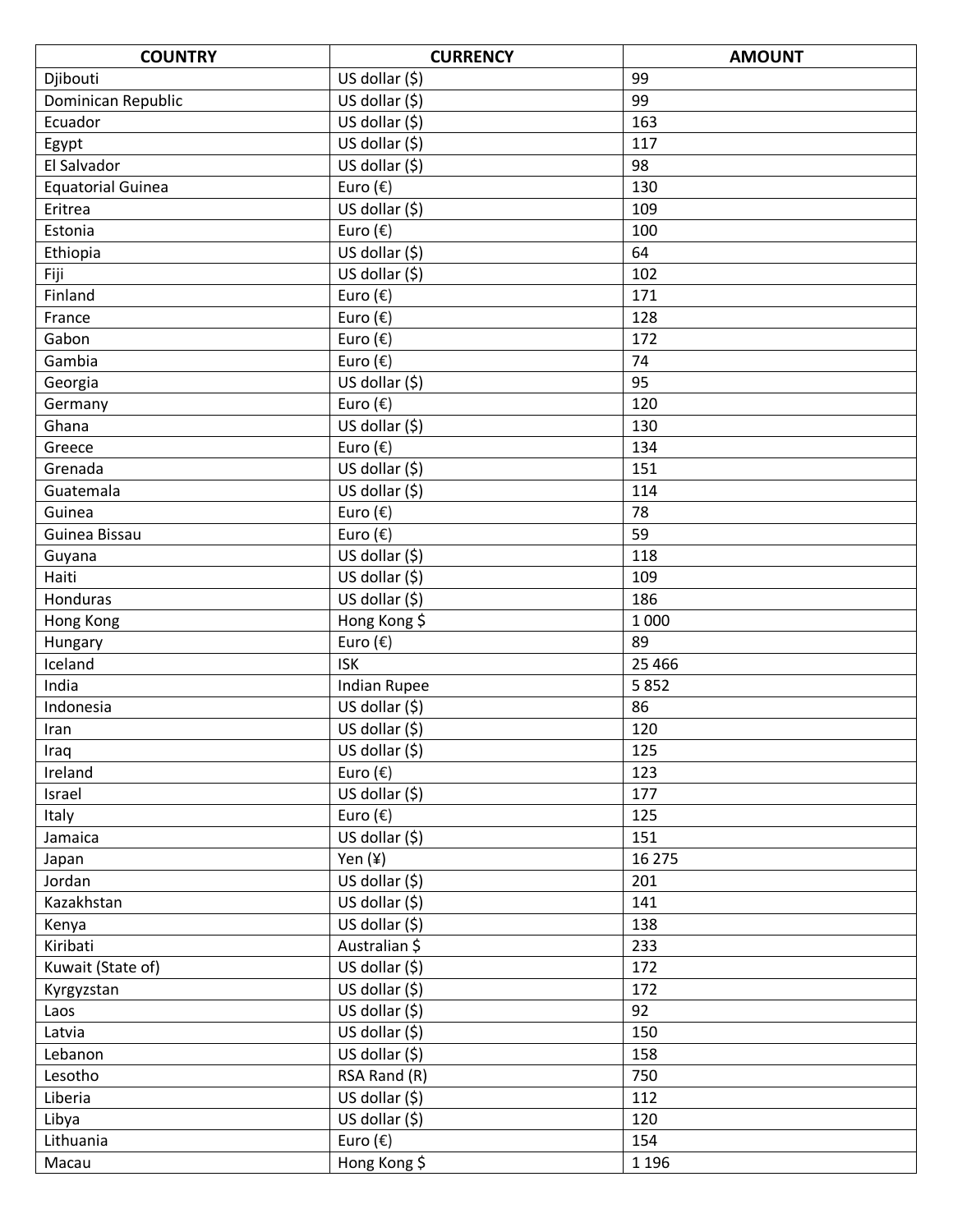| <b>COUNTRY</b>           | <b>CURRENCY</b>             | <b>AMOUNT</b> |
|--------------------------|-----------------------------|---------------|
| Djibouti                 | US dollar (\$)              | 99            |
| Dominican Republic       | US dollar (\$)              | 99            |
| Ecuador                  | US dollar (\$)              | 163           |
| Egypt                    | $\overline{US}$ dollar (\$) | 117           |
| El Salvador              | US dollar (\$)              | 98            |
| <b>Equatorial Guinea</b> | Euro (€)                    | 130           |
| Eritrea                  | US dollar (\$)              | 109           |
| Estonia                  | Euro (€)                    | 100           |
| Ethiopia                 | US dollar (\$)              | 64            |
| Fiji                     | US dollar (\$)              | 102           |
| Finland                  | Euro $(\epsilon)$           | 171           |
| France                   | Euro $(\epsilon)$           | 128           |
| Gabon                    | Euro $(\epsilon)$           | 172           |
| Gambia                   | Euro (€)                    | 74            |
| Georgia                  | US dollar (\$)              | 95            |
| Germany                  | Euro $(\epsilon)$           | 120           |
| Ghana                    | US dollar (\$)              | 130           |
| Greece                   | Euro (€)                    | 134           |
| Grenada                  | US dollar (\$)              | 151           |
| Guatemala                | $\overline{US}$ dollar (\$) | 114           |
| Guinea                   | Euro $(\epsilon)$           | 78            |
| Guinea Bissau            | Euro (€)                    | 59            |
| Guyana                   | US dollar (\$)              | 118           |
| Haiti                    | US dollar $(5)$             | 109           |
| Honduras                 | US dollar (\$)              | 186           |
| Hong Kong                | Hong Kong \$                | 1 0 0 0       |
| Hungary                  | Euro $(\epsilon)$           | 89            |
| Iceland                  | <b>ISK</b>                  | 25 4 66       |
| India                    | <b>Indian Rupee</b>         | 5852          |
| Indonesia                | US dollar (\$)              | 86            |
| Iran                     | US dollar (\$)              | 120           |
| Iraq                     | US dollar (\$)              | 125           |
| Ireland                  | Euro (€)                    | 123           |
| Israel                   | US dollar (\$)              | 177           |
| Italy                    | Euro $(\epsilon)$           | 125           |
| Jamaica                  | US dollar (\$)              | 151           |
| Japan                    | Yen (¥)                     | 16 275        |
| Jordan                   | US dollar $(5)$             | 201           |
| Kazakhstan               | US dollar $(5)$             | 141           |
| Kenya                    | US dollar (\$)              | 138           |
| Kiribati                 | Australian \$               | 233           |
| Kuwait (State of)        | US dollar (\$)              | 172           |
| Kyrgyzstan               | US dollar (\$)              | 172           |
| Laos                     | US dollar (\$)              | 92            |
| Latvia                   | US dollar (\$)              | 150           |
| Lebanon                  | US dollar (\$)              | 158           |
| Lesotho                  | RSA Rand (R)                | 750           |
| Liberia                  | US dollar (\$)              | 112           |
| Libya                    | US dollar (\$)              | 120           |
| Lithuania                | Euro $(\epsilon)$           | 154           |
| Macau                    | Hong Kong \$                | 1 1 9 6       |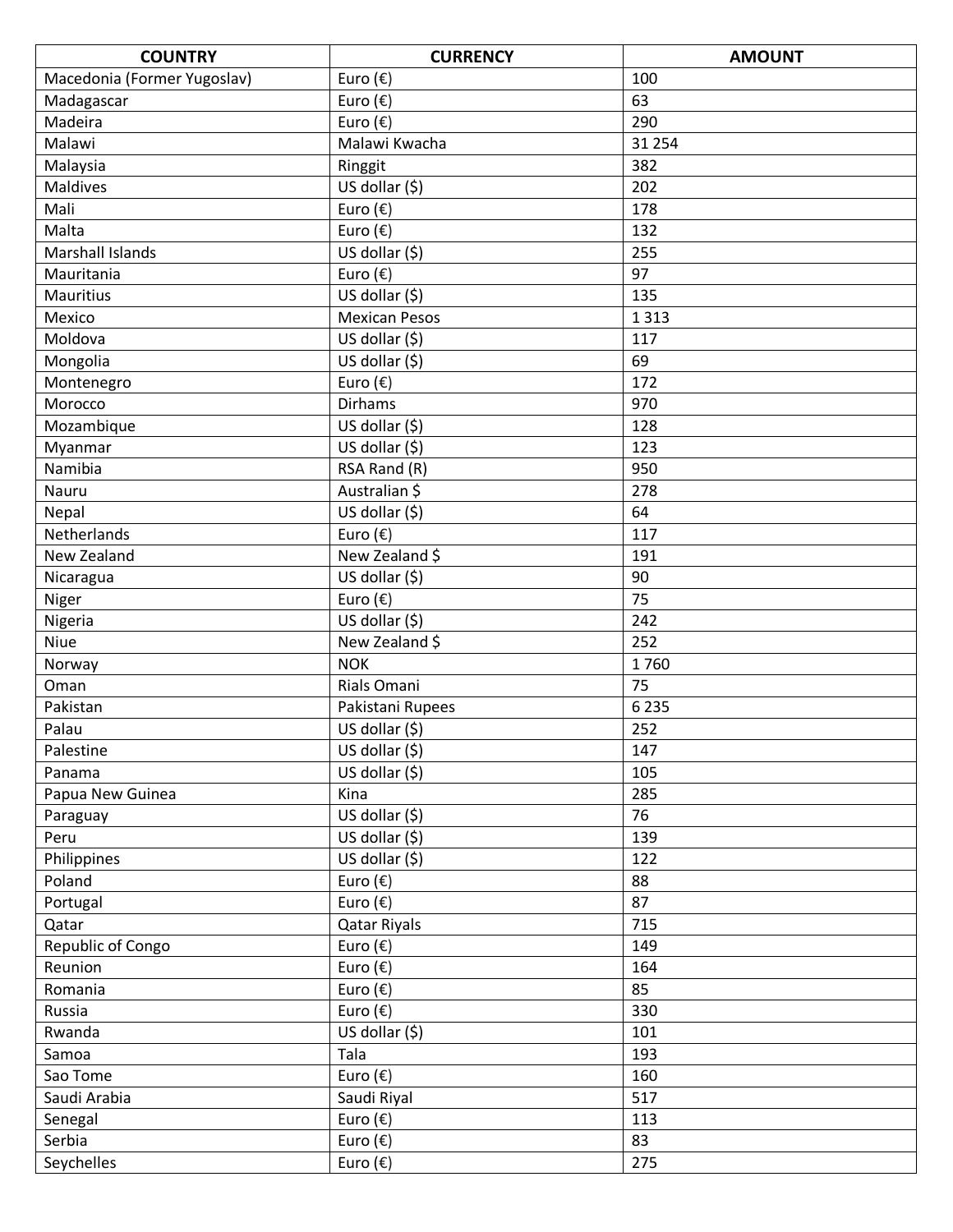| <b>COUNTRY</b>              | <b>CURRENCY</b>      | <b>AMOUNT</b> |
|-----------------------------|----------------------|---------------|
| Macedonia (Former Yugoslav) | Euro $(\epsilon)$    | 100           |
| Madagascar                  | Euro $(\epsilon)$    | 63            |
| Madeira                     | Euro $(\epsilon)$    | 290           |
| Malawi                      | Malawi Kwacha        | 31 254        |
| Malaysia                    | Ringgit              | 382           |
| <b>Maldives</b>             | US dollar (\$)       | 202           |
| Mali                        | Euro $(\epsilon)$    | 178           |
| Malta                       | Euro $(\epsilon)$    | 132           |
| Marshall Islands            | US dollar (\$)       | 255           |
| Mauritania                  | Euro $(\epsilon)$    | 97            |
| <b>Mauritius</b>            | US dollar (\$)       | 135           |
| Mexico                      | <b>Mexican Pesos</b> | 1 3 1 3       |
| Moldova                     | US dollar (\$)       | 117           |
| Mongolia                    | US dollar (\$)       | 69            |
| Montenegro                  | Euro $(\epsilon)$    | 172           |
| Morocco                     | <b>Dirhams</b>       | 970           |
| Mozambique                  | US dollar (\$)       | 128           |
| Myanmar                     | US dollar (\$)       | 123           |
| Namibia                     | $RSA$ Rand $(R)$     | 950           |
| Nauru                       | Australian \$        | 278           |
| Nepal                       | US dollar (\$)       | 64            |
| Netherlands                 | Euro (€)             | 117           |
| New Zealand                 | New Zealand \$       | 191           |
| Nicaragua                   | US dollar (\$)       | 90            |
| Niger                       | Euro $(\epsilon)$    | 75            |
| Nigeria                     | US dollar (\$)       | 242           |
| Niue                        | New Zealand \$       | 252           |
| Norway                      | <b>NOK</b>           | 1760          |
| Oman                        | Rials Omani          | 75            |
| Pakistan                    | Pakistani Rupees     | 6 2 3 5       |
| Palau                       | US dollar (\$)       | 252           |
| Palestine                   | US dollar (\$)       | 147           |
| Panama                      | US dollar (\$)       | 105           |
| Papua New Guinea            | Kina                 | 285           |
| Paraguay                    | US dollar (\$)       | 76            |
| Peru                        | US dollar $(5)$      | 139           |
| Philippines                 | US dollar (\$)       | 122           |
| Poland                      | Euro $(\epsilon)$    | 88            |
| Portugal                    | Euro $(\epsilon)$    | 87            |
| Qatar                       | Qatar Riyals         | 715           |
| Republic of Congo           | Euro $(\epsilon)$    | 149           |
| Reunion                     | Euro $(\epsilon)$    | 164           |
| Romania                     | Euro $(\epsilon)$    | 85            |
| Russia                      | Euro $(\epsilon)$    | 330           |
| Rwanda                      | US dollar (\$)       | 101           |
| Samoa                       | Tala                 | 193           |
| Sao Tome                    | Euro $(\epsilon)$    | 160           |
| Saudi Arabia                | Saudi Riyal          | 517           |
| Senegal                     | Euro $(\epsilon)$    | 113           |
| Serbia                      | Euro $(\epsilon)$    | 83            |
| Seychelles                  | Euro $(\epsilon)$    | 275           |